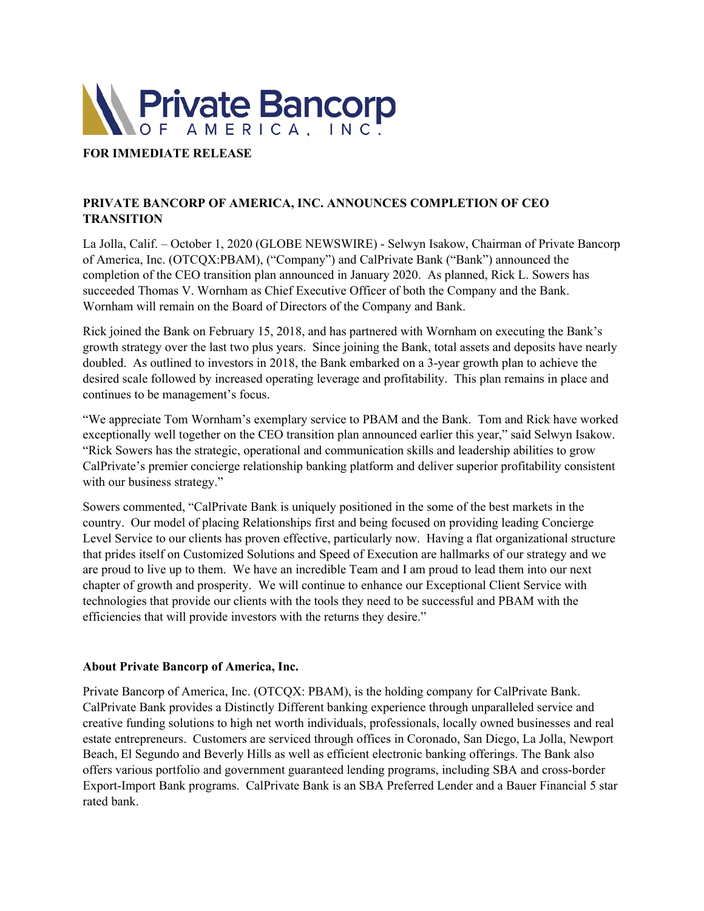

## **FOR IMMEDIATE RELEASE**

# **PRIVATE BANCORP OF AMERICA, INC. ANNOUNCES COMPLETION OF CEO TRANSITION**

La Jolla, Calif. – October 1, 2020 (GLOBE NEWSWIRE) - Selwyn Isakow, Chairman of Private Bancorp of America, Inc. (OTCQX:PBAM), ("Company") and CalPrivate Bank ("Bank") announced the completion of the CEO transition plan announced in January 2020. As planned, Rick L. Sowers has succeeded Thomas V. Wornham as Chief Executive Officer of both the Company and the Bank. Wornham will remain on the Board of Directors of the Company and Bank.

Rick joined the Bank on February 15, 2018, and has partnered with Wornham on executing the Bank's growth strategy over the last two plus years. Since joining the Bank, total assets and deposits have nearly doubled. As outlined to investors in 2018, the Bank embarked on a 3-year growth plan to achieve the desired scale followed by increased operating leverage and profitability. This plan remains in place and continues to be management's focus.

"We appreciate Tom Wornham's exemplary service to PBAM and the Bank. Tom and Rick have worked exceptionally well together on the CEO transition plan announced earlier this year," said Selwyn Isakow. "Rick Sowers has the strategic, operational and communication skills and leadership abilities to grow CalPrivate's premier concierge relationship banking platform and deliver superior profitability consistent with our business strategy."

Sowers commented, "CalPrivate Bank is uniquely positioned in the some of the best markets in the country. Our model of placing Relationships first and being focused on providing leading Concierge Level Service to our clients has proven effective, particularly now. Having a flat organizational structure that prides itself on Customized Solutions and Speed of Execution are hallmarks of our strategy and we are proud to live up to them. We have an incredible Team and I am proud to lead them into our next chapter of growth and prosperity. We will continue to enhance our Exceptional Client Service with technologies that provide our clients with the tools they need to be successful and PBAM with the efficiencies that will provide investors with the returns they desire."

## **About Private Bancorp of America, Inc.**

Private Bancorp of America, Inc. (OTCQX: PBAM), is the holding company for CalPrivate Bank. CalPrivate Bank provides a Distinctly Different banking experience through unparalleled service and creative funding solutions to high net worth individuals, professionals, locally owned businesses and real estate entrepreneurs. Customers are serviced through offices in Coronado, San Diego, La Jolla, Newport Beach, El Segundo and Beverly Hills as well as efficient electronic banking offerings. The Bank also offers various portfolio and government guaranteed lending programs, including SBA and cross-border Export-Import Bank programs. CalPrivate Bank is an SBA Preferred Lender and a Bauer Financial 5 star rated bank.